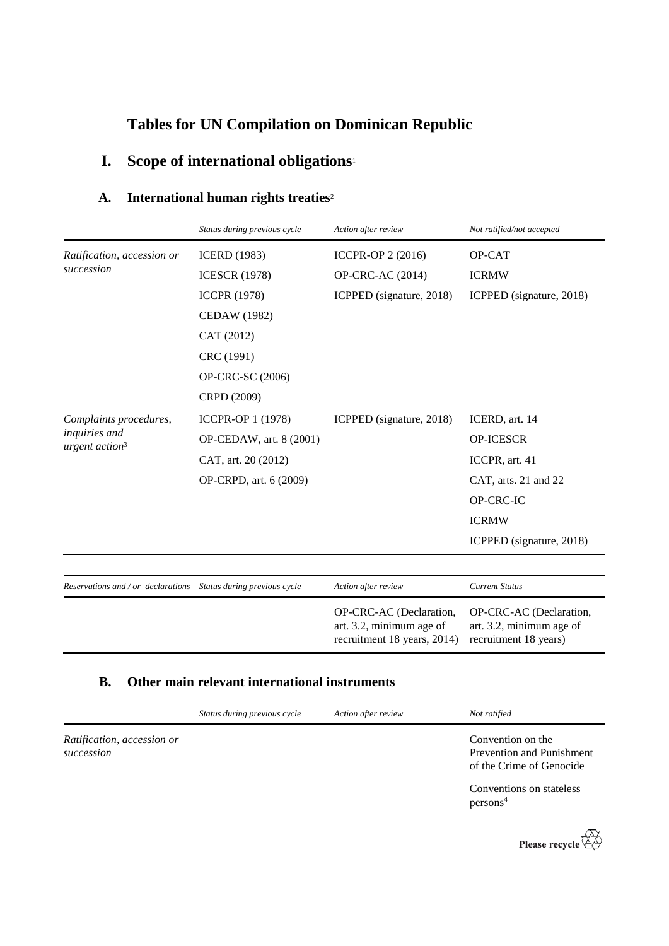# **Tables for UN Compilation on Dominican Republic**

# **I. Scope of international obligations**<sup>1</sup>

## **A. International human rights treaties**<sup>2</sup>

|                                                                 | Status during previous cycle | Action after review                                                                | Not ratified/not accepted                                                    |
|-----------------------------------------------------------------|------------------------------|------------------------------------------------------------------------------------|------------------------------------------------------------------------------|
| Ratification, accession or<br>succession                        | <b>ICERD</b> (1983)          | ICCPR-OP 2 (2016)                                                                  | OP-CAT                                                                       |
|                                                                 | <b>ICESCR (1978)</b>         | <b>OP-CRC-AC (2014)</b>                                                            | <b>ICRMW</b>                                                                 |
|                                                                 | <b>ICCPR (1978)</b>          | ICPPED (signature, 2018)                                                           | ICPPED (signature, 2018)                                                     |
|                                                                 | <b>CEDAW</b> (1982)          |                                                                                    |                                                                              |
|                                                                 | CAT (2012)                   |                                                                                    |                                                                              |
|                                                                 | CRC (1991)                   |                                                                                    |                                                                              |
|                                                                 | OP-CRC-SC (2006)             |                                                                                    |                                                                              |
|                                                                 | CRPD (2009)                  |                                                                                    |                                                                              |
| Complaints procedures,                                          | <b>ICCPR-OP 1 (1978)</b>     | ICPPED (signature, 2018)                                                           | ICERD, art. 14                                                               |
| inquiries and<br>urgent action <sup>3</sup>                     | OP-CEDAW, art. 8 (2001)      |                                                                                    | <b>OP-ICESCR</b>                                                             |
|                                                                 | CAT, art. 20 (2012)          |                                                                                    | ICCPR, art. 41                                                               |
|                                                                 | OP-CRPD, art. 6 (2009)       |                                                                                    | CAT, arts. 21 and 22                                                         |
|                                                                 |                              |                                                                                    | OP-CRC-IC                                                                    |
|                                                                 |                              |                                                                                    | <b>ICRMW</b>                                                                 |
|                                                                 |                              |                                                                                    | ICPPED (signature, 2018)                                                     |
|                                                                 |                              |                                                                                    |                                                                              |
| Reservations and / or declarations Status during previous cycle |                              | Action after review                                                                | <b>Current Status</b>                                                        |
|                                                                 |                              | OP-CRC-AC (Declaration,<br>art. 3.2, minimum age of<br>recruitment 18 years, 2014) | OP-CRC-AC (Declaration,<br>art. 3.2, minimum age of<br>recruitment 18 years) |

### **B. Other main relevant international instruments**

|                                          | Status during previous cycle | Action after review | Not ratified                                                                      |
|------------------------------------------|------------------------------|---------------------|-----------------------------------------------------------------------------------|
| Ratification, accession or<br>succession |                              |                     | Convention on the<br><b>Prevention and Punishment</b><br>of the Crime of Genocide |
|                                          |                              |                     | Conventions on stateless<br>persons <sup>4</sup>                                  |

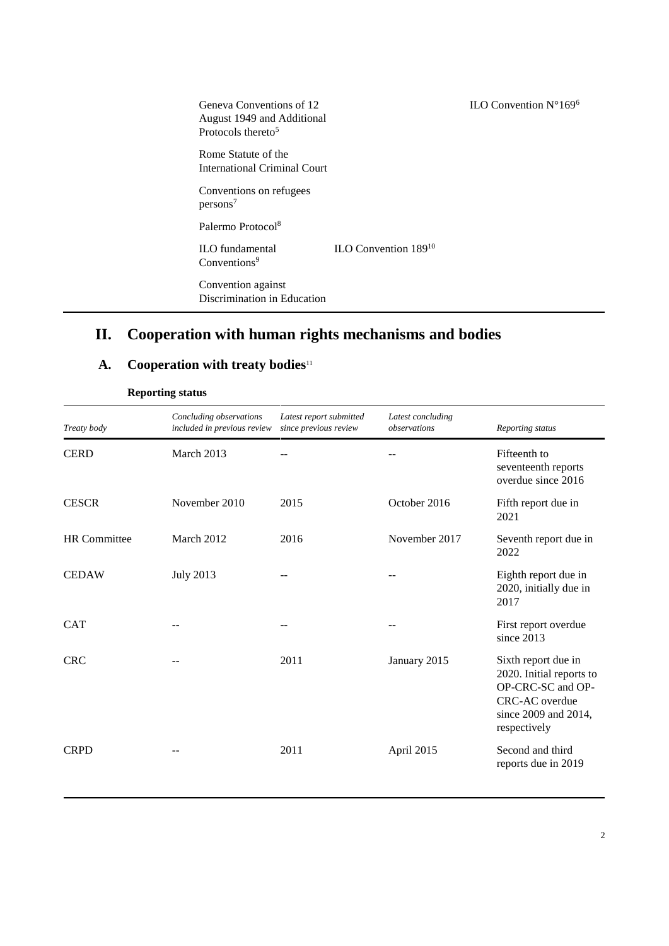| Geneva Conventions of 12<br>August 1949 and Additional<br>Protocols thereto <sup>5</sup> |                           | ILO Convention $N^{\circ}169^6$ |
|------------------------------------------------------------------------------------------|---------------------------|---------------------------------|
| Rome Statute of the<br><b>International Criminal Court</b>                               |                           |                                 |
| Conventions on refugees<br>persons <sup>7</sup>                                          |                           |                                 |
| Palermo Protocol <sup>8</sup>                                                            |                           |                                 |
| <b>ILO</b> fundamental<br>Conventions <sup>9</sup>                                       | ILO Convention $189^{10}$ |                                 |
| Convention against<br>Discrimination in Education                                        |                           |                                 |

# **II. Cooperation with human rights mechanisms and bodies**

# **A. Cooperation with treaty bodies**<sup>11</sup>

| Treaty body         | Concluding observations<br>included in previous review | Latest report submitted<br>since previous review | Latest concluding<br>observations | Reporting status                                                                                                               |
|---------------------|--------------------------------------------------------|--------------------------------------------------|-----------------------------------|--------------------------------------------------------------------------------------------------------------------------------|
| <b>CERD</b>         | March 2013                                             |                                                  |                                   | Fifteenth to<br>seventeenth reports<br>overdue since 2016                                                                      |
| <b>CESCR</b>        | November 2010                                          | 2015                                             | October 2016                      | Fifth report due in<br>2021                                                                                                    |
| <b>HR</b> Committee | March 2012                                             | 2016                                             | November 2017                     | Seventh report due in<br>2022                                                                                                  |
| <b>CEDAW</b>        | <b>July 2013</b>                                       |                                                  |                                   | Eighth report due in<br>2020, initially due in<br>2017                                                                         |
| <b>CAT</b>          |                                                        |                                                  | $-$                               | First report overdue<br>since 2013                                                                                             |
| <b>CRC</b>          |                                                        | 2011                                             | January 2015                      | Sixth report due in<br>2020. Initial reports to<br>OP-CRC-SC and OP-<br>CRC-AC overdue<br>since 2009 and 2014,<br>respectively |
| <b>CRPD</b>         |                                                        | 2011                                             | April 2015                        | Second and third<br>reports due in 2019                                                                                        |

**Reporting status**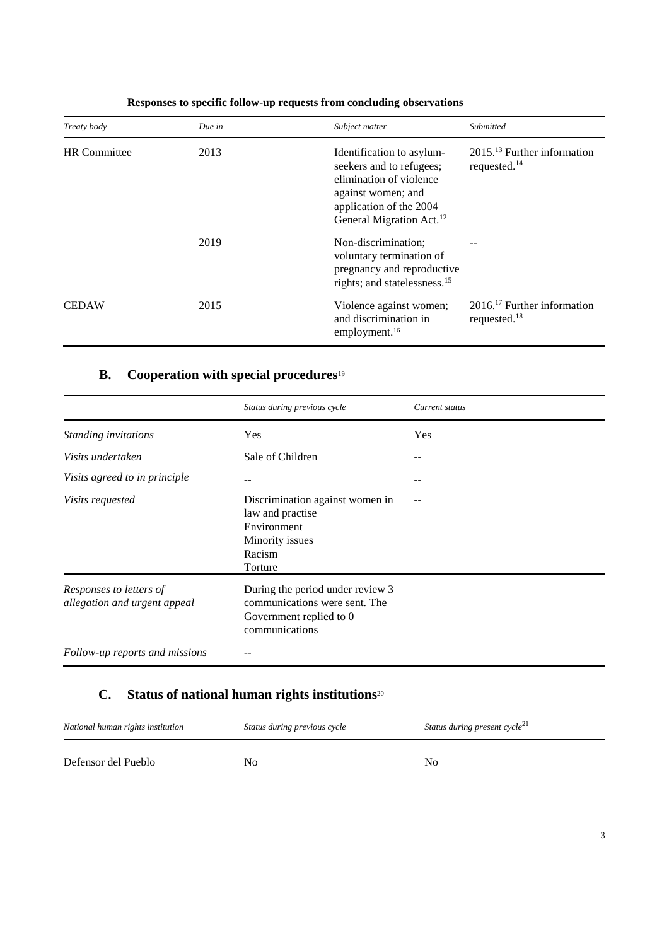| Treaty body         | Due in | Subject matter                                                                                                                                                            | Submitted                                                   |
|---------------------|--------|---------------------------------------------------------------------------------------------------------------------------------------------------------------------------|-------------------------------------------------------------|
| <b>HR</b> Committee | 2013   | Identification to asylum-<br>seekers and to refugees;<br>elimination of violence<br>against women; and<br>application of the 2004<br>General Migration Act. <sup>12</sup> | $201513$ Further information<br>requested. $14$             |
|                     | 2019   | Non-discrimination;<br>voluntary termination of<br>pregnancy and reproductive<br>rights; and statelessness. <sup>15</sup>                                                 |                                                             |
| <b>CEDAW</b>        | 2015   | Violence against women;<br>and discrimination in<br>employment. <sup>16</sup>                                                                                             | $2016$ <sup>17</sup> Further information<br>requested. $18$ |

## **Responses to specific follow-up requests from concluding observations**

## **B. Cooperation with special procedures**<sup>19</sup>

|                                                         | Status during previous cycle                                                                                   | Current status |
|---------------------------------------------------------|----------------------------------------------------------------------------------------------------------------|----------------|
| Standing invitations                                    | <b>Yes</b>                                                                                                     | Yes            |
| Visits undertaken                                       | Sale of Children                                                                                               | $- -$          |
| Visits agreed to in principle                           | --                                                                                                             |                |
| <i>Visits requested</i>                                 | Discrimination against women in<br>law and practise<br>Environment<br>Minority issues<br>Racism<br>Torture     |                |
| Responses to letters of<br>allegation and urgent appeal | During the period under review 3<br>communications were sent. The<br>Government replied to 0<br>communications |                |
| Follow-up reports and missions                          |                                                                                                                |                |

# **C. Status of national human rights institutions**<sup>20</sup>

| National human rights institution | Status during previous cycle | Status during present cycle <sup>21</sup> |
|-----------------------------------|------------------------------|-------------------------------------------|
| Defensor del Pueblo               | No                           | N <sub>0</sub>                            |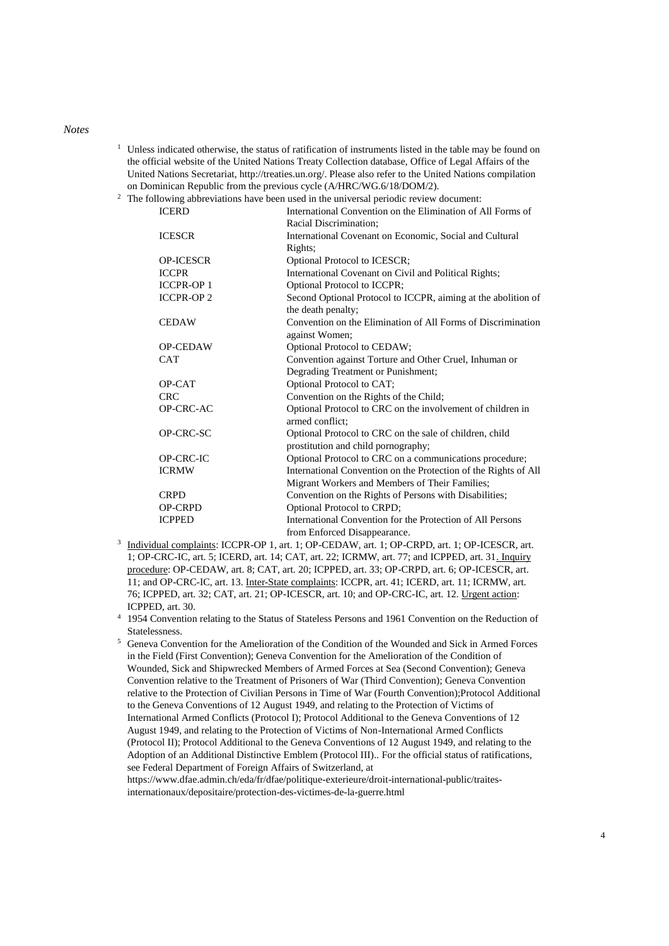#### *Notes*

<sup>1</sup> Unless indicated otherwise, the status of ratification of instruments listed in the table may be found on the official website of the United Nations Treaty Collection database, Office of Legal Affairs of the United Nations Secretariat, http://treaties.un.org/. Please also refer to the United Nations compilation on Dominican Republic from the previous cycle (A/HRC/WG.6/18/DOM/2).

<sup>2</sup> The following abbreviations have been used in the universal periodic review document:

| <b>ICERD</b>     | International Convention on the Elimination of All Forms of     |
|------------------|-----------------------------------------------------------------|
|                  | Racial Discrimination;                                          |
| <b>ICESCR</b>    | International Covenant on Economic, Social and Cultural         |
|                  | Rights;                                                         |
| <b>OP-ICESCR</b> | Optional Protocol to ICESCR;                                    |
| <b>ICCPR</b>     | International Covenant on Civil and Political Rights;           |
| <b>ICCPR-OP1</b> | Optional Protocol to ICCPR;                                     |
| <b>ICCPR-OP2</b> | Second Optional Protocol to ICCPR, aiming at the abolition of   |
|                  | the death penalty;                                              |
| <b>CEDAW</b>     | Convention on the Elimination of All Forms of Discrimination    |
|                  | against Women;                                                  |
| <b>OP-CEDAW</b>  | Optional Protocol to CEDAW;                                     |
| <b>CAT</b>       | Convention against Torture and Other Cruel, Inhuman or          |
|                  | Degrading Treatment or Punishment;                              |
| OP-CAT           | Optional Protocol to CAT;                                       |
| <b>CRC</b>       | Convention on the Rights of the Child;                          |
| OP-CRC-AC        | Optional Protocol to CRC on the involvement of children in      |
|                  | armed conflict:                                                 |
| OP-CRC-SC        | Optional Protocol to CRC on the sale of children, child         |
|                  | prostitution and child pornography;                             |
| OP-CRC-IC        | Optional Protocol to CRC on a communications procedure;         |
| <b>ICRMW</b>     | International Convention on the Protection of the Rights of All |
|                  | Migrant Workers and Members of Their Families;                  |
| <b>CRPD</b>      | Convention on the Rights of Persons with Disabilities;          |
| <b>OP-CRPD</b>   | Optional Protocol to CRPD;                                      |
| <b>ICPPED</b>    | International Convention for the Protection of All Persons      |
|                  | from Enforced Disappearance.                                    |

- <sup>3</sup> Individual complaints: ICCPR-OP 1, art. 1; OP-CEDAW, art. 1; OP-CRPD, art. 1; OP-ICESCR, art. 1; OP-CRC-IC, art. 5; ICERD, art. 14; CAT, art. 22; ICRMW, art. 77; and ICPPED, art. 31. Inquiry procedure: OP-CEDAW, art. 8; CAT, art. 20; ICPPED, art. 33; OP-CRPD, art. 6; OP-ICESCR, art. 11; and OP-CRC-IC, art. 13. Inter-State complaints: ICCPR, art. 41; ICERD, art. 11; ICRMW, art. 76; ICPPED, art. 32; CAT, art. 21; OP-ICESCR, art. 10; and OP-CRC-IC, art. 12. Urgent action: ICPPED, art. 30.
- <sup>4</sup> 1954 Convention relating to the Status of Stateless Persons and 1961 Convention on the Reduction of Statelessness.

<sup>5</sup> Geneva Convention for the Amelioration of the Condition of the Wounded and Sick in Armed Forces in the Field (First Convention); Geneva Convention for the Amelioration of the Condition of Wounded, Sick and Shipwrecked Members of Armed Forces at Sea (Second Convention); Geneva Convention relative to the Treatment of Prisoners of War (Third Convention); Geneva Convention relative to the Protection of Civilian Persons in Time of War (Fourth Convention);Protocol Additional to the Geneva Conventions of 12 August 1949, and relating to the Protection of Victims of International Armed Conflicts (Protocol I); Protocol Additional to the Geneva Conventions of 12 August 1949, and relating to the Protection of Victims of Non-International Armed Conflicts (Protocol II); Protocol Additional to the Geneva Conventions of 12 August 1949, and relating to the Adoption of an Additional Distinctive Emblem (Protocol III).. For the official status of ratifications, see Federal Department of Foreign Affairs of Switzerland, at

https://www.dfae.admin.ch/eda/fr/dfae/politique-exterieure/droit-international-public/traitesinternationaux/depositaire/protection-des-victimes-de-la-guerre.html